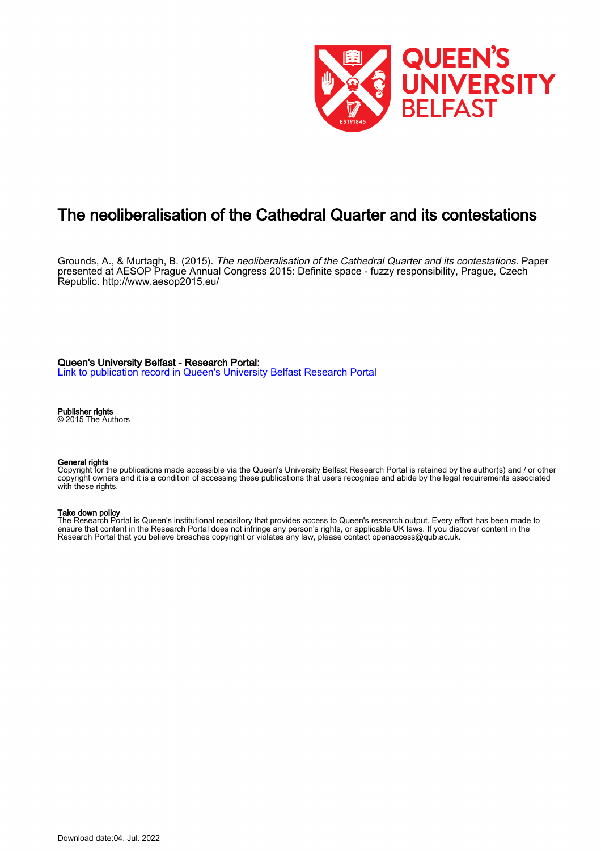

# The neoliberalisation of the Cathedral Quarter and its contestations

Grounds, A., & Murtagh, B. (2015). *The neoliberalisation of the Cathedral Quarter and its contestations*. Paper presented at AESOP Prague Annual Congress 2015: Definite space - fuzzy responsibility, Prague, Czech Republic.<http://www.aesop2015.eu/>

Queen's University Belfast - Research Portal:

[Link to publication record in Queen's University Belfast Research Portal](https://pure.qub.ac.uk/en/publications/3404f46c-72f4-429d-89fa-386ad36af0d2)

Publisher rights

© 2015 The Authors

#### General rights

Copyright for the publications made accessible via the Queen's University Belfast Research Portal is retained by the author(s) and / or other copyright owners and it is a condition of accessing these publications that users recognise and abide by the legal requirements associated with these rights.

#### Take down policy

The Research Portal is Queen's institutional repository that provides access to Queen's research output. Every effort has been made to ensure that content in the Research Portal does not infringe any person's rights, or applicable UK laws. If you discover content in the Research Portal that you believe breaches copyright or violates any law, please contact openaccess@qub.ac.uk.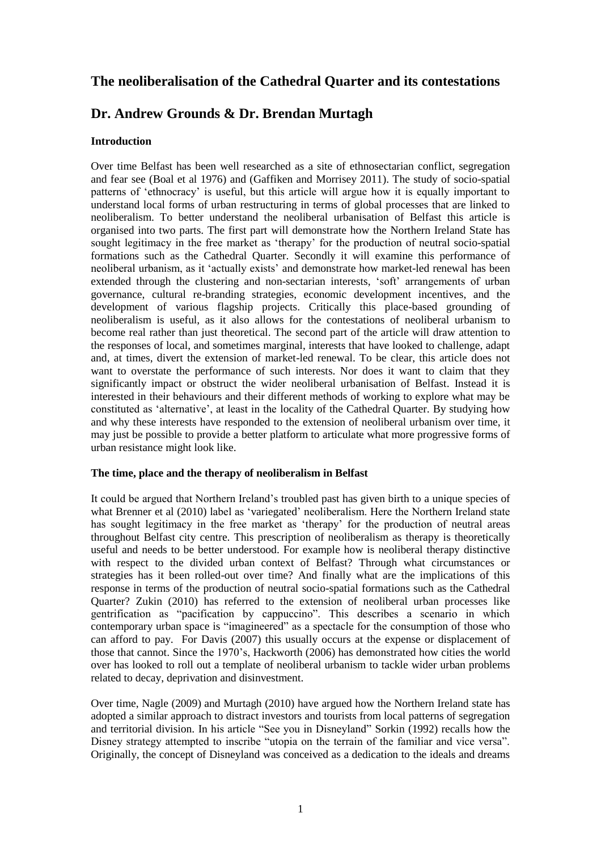## **The neoliberalisation of the Cathedral Quarter and its contestations**

## **Dr. Andrew Grounds & Dr. Brendan Murtagh**

#### **Introduction**

Over time Belfast has been well researched as a site of ethnosectarian conflict, segregation and fear see (Boal et al 1976) and (Gaffiken and Morrisey 2011). The study of socio-spatial patterns of 'ethnocracy' is useful, but this article will argue how it is equally important to understand local forms of urban restructuring in terms of global processes that are linked to neoliberalism. To better understand the neoliberal urbanisation of Belfast this article is organised into two parts. The first part will demonstrate how the Northern Ireland State has sought legitimacy in the free market as 'therapy' for the production of neutral socio-spatial formations such as the Cathedral Quarter. Secondly it will examine this performance of neoliberal urbanism, as it 'actually exists' and demonstrate how market-led renewal has been extended through the clustering and non-sectarian interests, 'soft' arrangements of urban governance, cultural re-branding strategies, economic development incentives, and the development of various flagship projects. Critically this place-based grounding of neoliberalism is useful, as it also allows for the contestations of neoliberal urbanism to become real rather than just theoretical. The second part of the article will draw attention to the responses of local, and sometimes marginal, interests that have looked to challenge, adapt and, at times, divert the extension of market-led renewal. To be clear, this article does not want to overstate the performance of such interests. Nor does it want to claim that they significantly impact or obstruct the wider neoliberal urbanisation of Belfast. Instead it is interested in their behaviours and their different methods of working to explore what may be constituted as 'alternative', at least in the locality of the Cathedral Quarter. By studying how and why these interests have responded to the extension of neoliberal urbanism over time, it may just be possible to provide a better platform to articulate what more progressive forms of urban resistance might look like.

#### **The time, place and the therapy of neoliberalism in Belfast**

It could be argued that Northern Ireland's troubled past has given birth to a unique species of what Brenner et al (2010) label as 'variegated' neoliberalism. Here the Northern Ireland state has sought legitimacy in the free market as 'therapy' for the production of neutral areas throughout Belfast city centre. This prescription of neoliberalism as therapy is theoretically useful and needs to be better understood. For example how is neoliberal therapy distinctive with respect to the divided urban context of Belfast? Through what circumstances or strategies has it been rolled-out over time? And finally what are the implications of this response in terms of the production of neutral socio-spatial formations such as the Cathedral Quarter? Zukin (2010) has referred to the extension of neoliberal urban processes like gentrification as "pacification by cappuccino". This describes a scenario in which contemporary urban space is "imagineered" as a spectacle for the consumption of those who can afford to pay. For Davis (2007) this usually occurs at the expense or displacement of those that cannot. Since the 1970's, Hackworth (2006) has demonstrated how cities the world over has looked to roll out a template of neoliberal urbanism to tackle wider urban problems related to decay, deprivation and disinvestment.

Over time, Nagle (2009) and Murtagh (2010) have argued how the Northern Ireland state has adopted a similar approach to distract investors and tourists from local patterns of segregation and territorial division. In his article "See you in Disneyland" Sorkin (1992) recalls how the Disney strategy attempted to inscribe "utopia on the terrain of the familiar and vice versa". Originally, the concept of Disneyland was conceived as a dedication to the ideals and dreams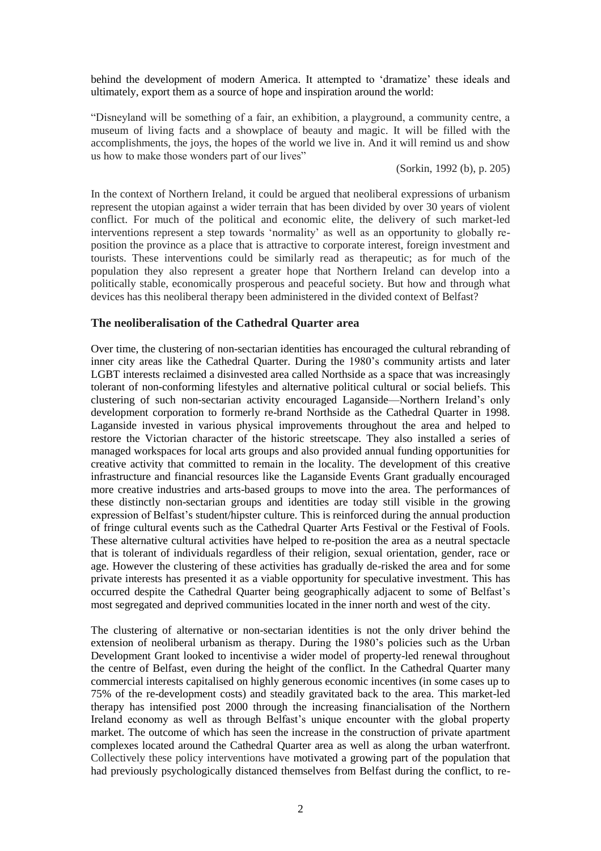behind the development of modern America. It attempted to 'dramatize' these ideals and ultimately, export them as a source of hope and inspiration around the world:

"Disneyland will be something of a fair, an exhibition, a playground, a community centre, a museum of living facts and a showplace of beauty and magic. It will be filled with the accomplishments, the joys, the hopes of the world we live in. And it will remind us and show us how to make those wonders part of our lives"

(Sorkin, 1992 (b), p. 205)

In the context of Northern Ireland, it could be argued that neoliberal expressions of urbanism represent the utopian against a wider terrain that has been divided by over 30 years of violent conflict. For much of the political and economic elite, the delivery of such market-led interventions represent a step towards 'normality' as well as an opportunity to globally reposition the province as a place that is attractive to corporate interest, foreign investment and tourists. These interventions could be similarly read as therapeutic; as for much of the population they also represent a greater hope that Northern Ireland can develop into a politically stable, economically prosperous and peaceful society. But how and through what devices has this neoliberal therapy been administered in the divided context of Belfast?

#### **The neoliberalisation of the Cathedral Quarter area**

Over time, the clustering of non-sectarian identities has encouraged the cultural rebranding of inner city areas like the Cathedral Quarter. During the 1980's community artists and later LGBT interests reclaimed a disinvested area called Northside as a space that was increasingly tolerant of non-conforming lifestyles and alternative political cultural or social beliefs. This clustering of such non-sectarian activity encouraged Laganside—Northern Ireland's only development corporation to formerly re-brand Northside as the Cathedral Quarter in 1998. Laganside invested in various physical improvements throughout the area and helped to restore the Victorian character of the historic streetscape. They also installed a series of managed workspaces for local arts groups and also provided annual funding opportunities for creative activity that committed to remain in the locality. The development of this creative infrastructure and financial resources like the Laganside Events Grant gradually encouraged more creative industries and arts-based groups to move into the area. The performances of these distinctly non-sectarian groups and identities are today still visible in the growing expression of Belfast's student/hipster culture. This is reinforced during the annual production of fringe cultural events such as the Cathedral Quarter Arts Festival or the Festival of Fools. These alternative cultural activities have helped to re-position the area as a neutral spectacle that is tolerant of individuals regardless of their religion, sexual orientation, gender, race or age. However the clustering of these activities has gradually de-risked the area and for some private interests has presented it as a viable opportunity for speculative investment. This has occurred despite the Cathedral Quarter being geographically adjacent to some of Belfast's most segregated and deprived communities located in the inner north and west of the city.

The clustering of alternative or non-sectarian identities is not the only driver behind the extension of neoliberal urbanism as therapy. During the 1980's policies such as the Urban Development Grant looked to incentivise a wider model of property-led renewal throughout the centre of Belfast, even during the height of the conflict. In the Cathedral Quarter many commercial interests capitalised on highly generous economic incentives (in some cases up to 75% of the re-development costs) and steadily gravitated back to the area. This market-led therapy has intensified post 2000 through the increasing financialisation of the Northern Ireland economy as well as through Belfast's unique encounter with the global property market. The outcome of which has seen the increase in the construction of private apartment complexes located around the Cathedral Quarter area as well as along the urban waterfront. Collectively these policy interventions have motivated a growing part of the population that had previously psychologically distanced themselves from Belfast during the conflict, to re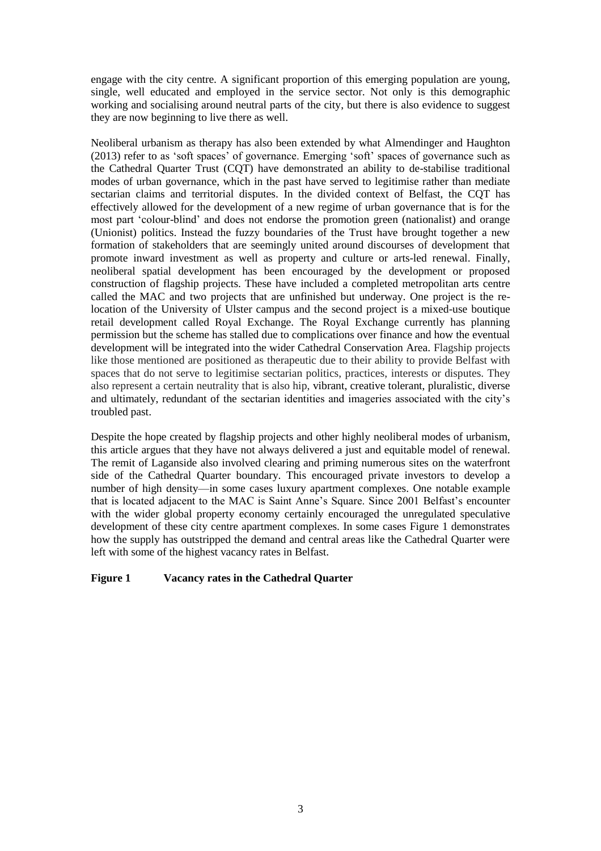engage with the city centre. A significant proportion of this emerging population are young, single, well educated and employed in the service sector. Not only is this demographic working and socialising around neutral parts of the city, but there is also evidence to suggest they are now beginning to live there as well.

Neoliberal urbanism as therapy has also been extended by what Almendinger and Haughton (2013) refer to as 'soft spaces' of governance. Emerging 'soft' spaces of governance such as the Cathedral Quarter Trust (CQT) have demonstrated an ability to de-stabilise traditional modes of urban governance, which in the past have served to legitimise rather than mediate sectarian claims and territorial disputes. In the divided context of Belfast, the CQT has effectively allowed for the development of a new regime of urban governance that is for the most part 'colour-blind' and does not endorse the promotion green (nationalist) and orange (Unionist) politics. Instead the fuzzy boundaries of the Trust have brought together a new formation of stakeholders that are seemingly united around discourses of development that promote inward investment as well as property and culture or arts-led renewal. Finally, neoliberal spatial development has been encouraged by the development or proposed construction of flagship projects. These have included a completed metropolitan arts centre called the MAC and two projects that are unfinished but underway. One project is the relocation of the University of Ulster campus and the second project is a mixed-use boutique retail development called Royal Exchange. The Royal Exchange currently has planning permission but the scheme has stalled due to complications over finance and how the eventual development will be integrated into the wider Cathedral Conservation Area. Flagship projects like those mentioned are positioned as therapeutic due to their ability to provide Belfast with spaces that do not serve to legitimise sectarian politics, practices, interests or disputes. They also represent a certain neutrality that is also hip, vibrant, creative tolerant, pluralistic, diverse and ultimately, redundant of the sectarian identities and imageries associated with the city's troubled past.

Despite the hope created by flagship projects and other highly neoliberal modes of urbanism, this article argues that they have not always delivered a just and equitable model of renewal. The remit of Laganside also involved clearing and priming numerous sites on the waterfront side of the Cathedral Quarter boundary. This encouraged private investors to develop a number of high density—in some cases luxury apartment complexes. One notable example that is located adjacent to the MAC is Saint Anne's Square. Since 2001 Belfast's encounter with the wider global property economy certainly encouraged the unregulated speculative development of these city centre apartment complexes. In some cases Figure 1 demonstrates how the supply has outstripped the demand and central areas like the Cathedral Quarter were left with some of the highest vacancy rates in Belfast.

#### **Figure 1 Vacancy rates in the Cathedral Quarter**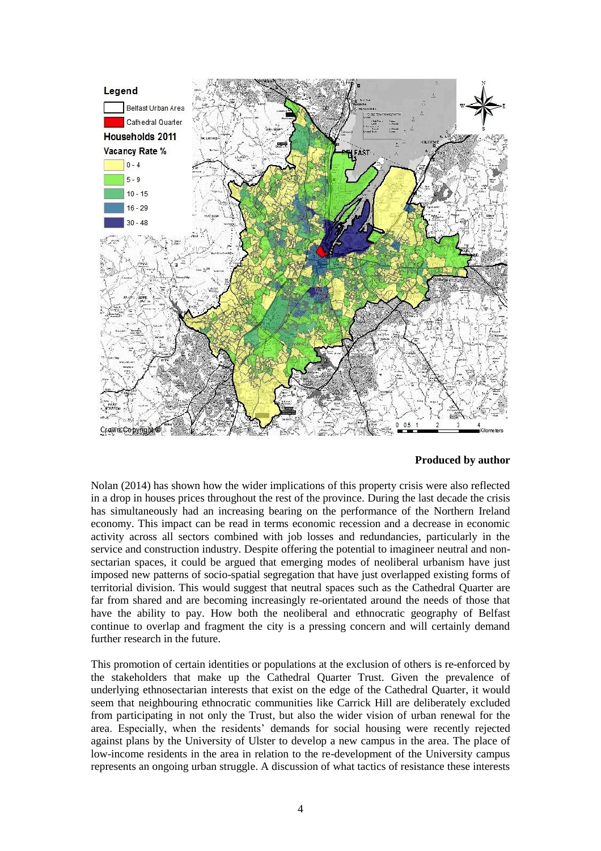

#### **Produced by author**

Nolan (2014) has shown how the wider implications of this property crisis were also reflected in a drop in houses prices throughout the rest of the province. During the last decade the crisis has simultaneously had an increasing bearing on the performance of the Northern Ireland economy. This impact can be read in terms economic recession and a decrease in economic activity across all sectors combined with job losses and redundancies, particularly in the service and construction industry. Despite offering the potential to imagineer neutral and nonsectarian spaces, it could be argued that emerging modes of neoliberal urbanism have just imposed new patterns of socio-spatial segregation that have just overlapped existing forms of territorial division. This would suggest that neutral spaces such as the Cathedral Quarter are far from shared and are becoming increasingly re-orientated around the needs of those that have the ability to pay. How both the neoliberal and ethnocratic geography of Belfast continue to overlap and fragment the city is a pressing concern and will certainly demand further research in the future.

This promotion of certain identities or populations at the exclusion of others is re-enforced by the stakeholders that make up the Cathedral Quarter Trust. Given the prevalence of underlying ethnosectarian interests that exist on the edge of the Cathedral Quarter, it would seem that neighbouring ethnocratic communities like Carrick Hill are deliberately excluded from participating in not only the Trust, but also the wider vision of urban renewal for the area. Especially, when the residents' demands for social housing were recently rejected against plans by the University of Ulster to develop a new campus in the area. The place of low-income residents in the area in relation to the re-development of the University campus represents an ongoing urban struggle. A discussion of what tactics of resistance these interests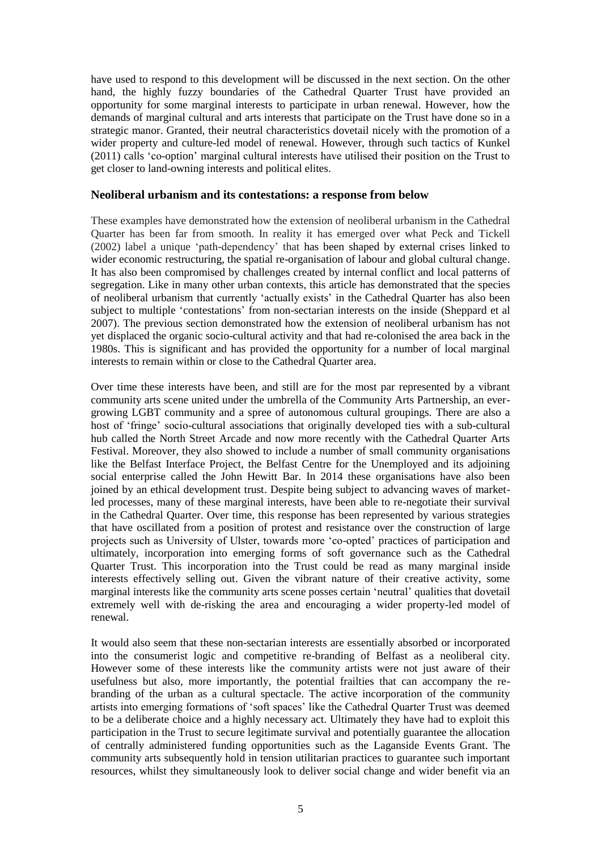have used to respond to this development will be discussed in the next section. On the other hand, the highly fuzzy boundaries of the Cathedral Quarter Trust have provided an opportunity for some marginal interests to participate in urban renewal. However, how the demands of marginal cultural and arts interests that participate on the Trust have done so in a strategic manor. Granted, their neutral characteristics dovetail nicely with the promotion of a wider property and culture-led model of renewal. However, through such tactics of Kunkel (2011) calls 'co-option' marginal cultural interests have utilised their position on the Trust to get closer to land-owning interests and political elites.

#### **Neoliberal urbanism and its contestations: a response from below**

These examples have demonstrated how the extension of neoliberal urbanism in the Cathedral Quarter has been far from smooth. In reality it has emerged over what Peck and Tickell (2002) label a unique 'path-dependency' that has been shaped by external crises linked to wider economic restructuring, the spatial re-organisation of labour and global cultural change. It has also been compromised by challenges created by internal conflict and local patterns of segregation. Like in many other urban contexts, this article has demonstrated that the species of neoliberal urbanism that currently 'actually exists' in the Cathedral Quarter has also been subject to multiple 'contestations' from non-sectarian interests on the inside (Sheppard et al 2007). The previous section demonstrated how the extension of neoliberal urbanism has not yet displaced the organic socio-cultural activity and that had re-colonised the area back in the 1980s. This is significant and has provided the opportunity for a number of local marginal interests to remain within or close to the Cathedral Quarter area.

Over time these interests have been, and still are for the most par represented by a vibrant community arts scene united under the umbrella of the Community Arts Partnership, an evergrowing LGBT community and a spree of autonomous cultural groupings. There are also a host of 'fringe' socio-cultural associations that originally developed ties with a sub-cultural hub called the North Street Arcade and now more recently with the Cathedral Quarter Arts Festival. Moreover, they also showed to include a number of small community organisations like the Belfast Interface Project, the Belfast Centre for the Unemployed and its adjoining social enterprise called the John Hewitt Bar. In 2014 these organisations have also been joined by an ethical development trust. Despite being subject to advancing waves of marketled processes, many of these marginal interests, have been able to re-negotiate their survival in the Cathedral Quarter. Over time, this response has been represented by various strategies that have oscillated from a position of protest and resistance over the construction of large projects such as University of Ulster, towards more 'co-opted' practices of participation and ultimately, incorporation into emerging forms of soft governance such as the Cathedral Quarter Trust. This incorporation into the Trust could be read as many marginal inside interests effectively selling out. Given the vibrant nature of their creative activity, some marginal interests like the community arts scene posses certain 'neutral' qualities that dovetail extremely well with de-risking the area and encouraging a wider property-led model of renewal.

It would also seem that these non-sectarian interests are essentially absorbed or incorporated into the consumerist logic and competitive re-branding of Belfast as a neoliberal city. However some of these interests like the community artists were not just aware of their usefulness but also, more importantly, the potential frailties that can accompany the rebranding of the urban as a cultural spectacle. The active incorporation of the community artists into emerging formations of 'soft spaces' like the Cathedral Quarter Trust was deemed to be a deliberate choice and a highly necessary act. Ultimately they have had to exploit this participation in the Trust to secure legitimate survival and potentially guarantee the allocation of centrally administered funding opportunities such as the Laganside Events Grant. The community arts subsequently hold in tension utilitarian practices to guarantee such important resources, whilst they simultaneously look to deliver social change and wider benefit via an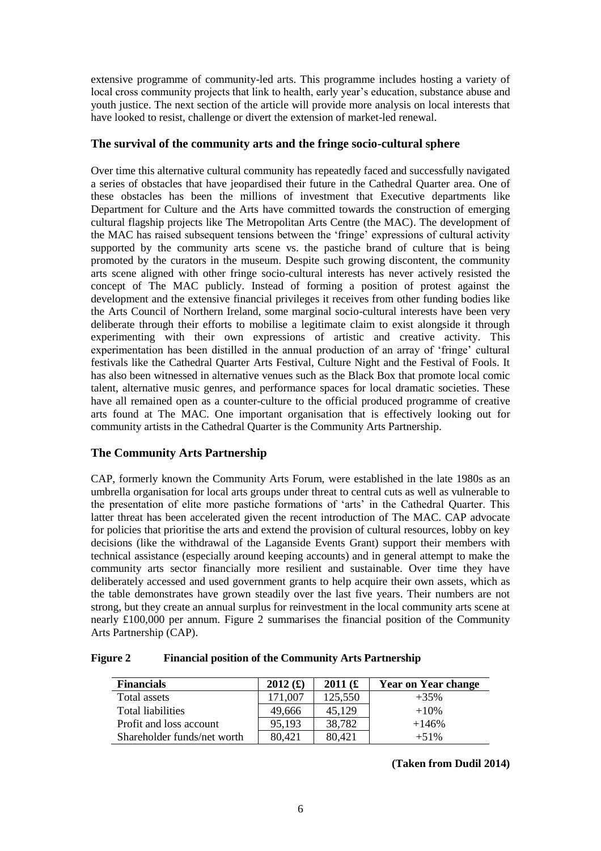extensive programme of community-led arts. This programme includes hosting a variety of local cross community projects that link to health, early year's education, substance abuse and youth justice. The next section of the article will provide more analysis on local interests that have looked to resist, challenge or divert the extension of market-led renewal.

#### **The survival of the community arts and the fringe socio-cultural sphere**

Over time this alternative cultural community has repeatedly faced and successfully navigated a series of obstacles that have jeopardised their future in the Cathedral Quarter area. One of these obstacles has been the millions of investment that Executive departments like Department for Culture and the Arts have committed towards the construction of emerging cultural flagship projects like The Metropolitan Arts Centre (the MAC). The development of the MAC has raised subsequent tensions between the 'fringe' expressions of cultural activity supported by the community arts scene vs. the pastiche brand of culture that is being promoted by the curators in the museum. Despite such growing discontent, the community arts scene aligned with other fringe socio-cultural interests has never actively resisted the concept of The MAC publicly. Instead of forming a position of protest against the development and the extensive financial privileges it receives from other funding bodies like the Arts Council of Northern Ireland, some marginal socio-cultural interests have been very deliberate through their efforts to mobilise a legitimate claim to exist alongside it through experimenting with their own expressions of artistic and creative activity. This experimentation has been distilled in the annual production of an array of 'fringe' cultural festivals like the Cathedral Quarter Arts Festival, Culture Night and the Festival of Fools. It has also been witnessed in alternative venues such as the Black Box that promote local comic talent, alternative music genres, and performance spaces for local dramatic societies. These have all remained open as a counter-culture to the official produced programme of creative arts found at The MAC. One important organisation that is effectively looking out for community artists in the Cathedral Quarter is the Community Arts Partnership.

### **The Community Arts Partnership**

CAP, formerly known the Community Arts Forum, were established in the late 1980s as an umbrella organisation for local arts groups under threat to central cuts as well as vulnerable to the presentation of elite more pastiche formations of 'arts' in the Cathedral Quarter. This latter threat has been accelerated given the recent introduction of The MAC. CAP advocate for policies that prioritise the arts and extend the provision of cultural resources, lobby on key decisions (like the withdrawal of the Laganside Events Grant) support their members with technical assistance (especially around keeping accounts) and in general attempt to make the community arts sector financially more resilient and sustainable. Over time they have deliberately accessed and used government grants to help acquire their own assets, which as the table demonstrates have grown steadily over the last five years. Their numbers are not strong, but they create an annual surplus for reinvestment in the local community arts scene at nearly £100,000 per annum. Figure 2 summarises the financial position of the Community Arts Partnership (CAP).

| <b>Figure 2</b> |  |  |                                                             |
|-----------------|--|--|-------------------------------------------------------------|
|                 |  |  | <b>Financial position of the Community Arts Partnership</b> |

| <b>Financials</b>           | 2012(f) | 2011(f) | <b>Year on Year change</b> |
|-----------------------------|---------|---------|----------------------------|
| Total assets                | 171,007 | 125,550 | $+35%$                     |
| <b>Total liabilities</b>    | 49,666  | 45,129  | $+10%$                     |
| Profit and loss account     | 95,193  | 38,782  | $+146%$                    |
| Shareholder funds/net worth | 80,421  | 80,421  | $+51\%$                    |

**(Taken from Dudil 2014)**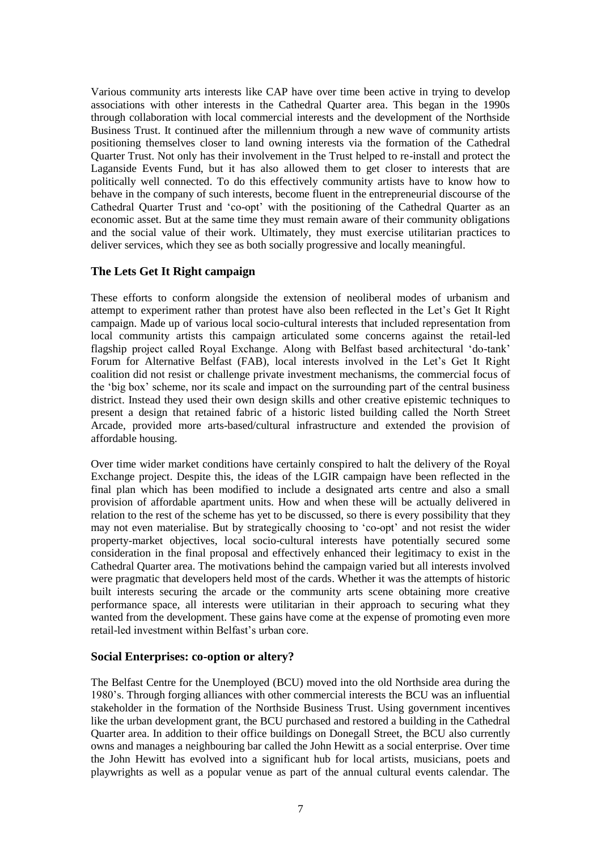Various community arts interests like CAP have over time been active in trying to develop associations with other interests in the Cathedral Quarter area. This began in the 1990s through collaboration with local commercial interests and the development of the Northside Business Trust. It continued after the millennium through a new wave of community artists positioning themselves closer to land owning interests via the formation of the Cathedral Quarter Trust. Not only has their involvement in the Trust helped to re-install and protect the Laganside Events Fund, but it has also allowed them to get closer to interests that are politically well connected. To do this effectively community artists have to know how to behave in the company of such interests, become fluent in the entrepreneurial discourse of the Cathedral Quarter Trust and 'co-opt' with the positioning of the Cathedral Quarter as an economic asset. But at the same time they must remain aware of their community obligations and the social value of their work. Ultimately, they must exercise utilitarian practices to deliver services, which they see as both socially progressive and locally meaningful.

### **The Lets Get It Right campaign**

These efforts to conform alongside the extension of neoliberal modes of urbanism and attempt to experiment rather than protest have also been reflected in the Let's Get It Right campaign. Made up of various local socio-cultural interests that included representation from local community artists this campaign articulated some concerns against the retail-led flagship project called Royal Exchange. Along with Belfast based architectural 'do-tank' Forum for Alternative Belfast (FAB), local interests involved in the Let's Get It Right coalition did not resist or challenge private investment mechanisms, the commercial focus of the 'big box' scheme, nor its scale and impact on the surrounding part of the central business district. Instead they used their own design skills and other creative epistemic techniques to present a design that retained fabric of a historic listed building called the North Street Arcade, provided more arts-based/cultural infrastructure and extended the provision of affordable housing.

Over time wider market conditions have certainly conspired to halt the delivery of the Royal Exchange project. Despite this, the ideas of the LGIR campaign have been reflected in the final plan which has been modified to include a designated arts centre and also a small provision of affordable apartment units. How and when these will be actually delivered in relation to the rest of the scheme has yet to be discussed, so there is every possibility that they may not even materialise. But by strategically choosing to 'co-opt' and not resist the wider property-market objectives, local socio-cultural interests have potentially secured some consideration in the final proposal and effectively enhanced their legitimacy to exist in the Cathedral Quarter area. The motivations behind the campaign varied but all interests involved were pragmatic that developers held most of the cards. Whether it was the attempts of historic built interests securing the arcade or the community arts scene obtaining more creative performance space, all interests were utilitarian in their approach to securing what they wanted from the development. These gains have come at the expense of promoting even more retail-led investment within Belfast's urban core.

### **Social Enterprises: co-option or altery?**

The Belfast Centre for the Unemployed (BCU) moved into the old Northside area during the 1980's. Through forging alliances with other commercial interests the BCU was an influential stakeholder in the formation of the Northside Business Trust. Using government incentives like the urban development grant, the BCU purchased and restored a building in the Cathedral Quarter area. In addition to their office buildings on Donegall Street, the BCU also currently owns and manages a neighbouring bar called the John Hewitt as a social enterprise. Over time the John Hewitt has evolved into a significant hub for local artists, musicians, poets and playwrights as well as a popular venue as part of the annual cultural events calendar. The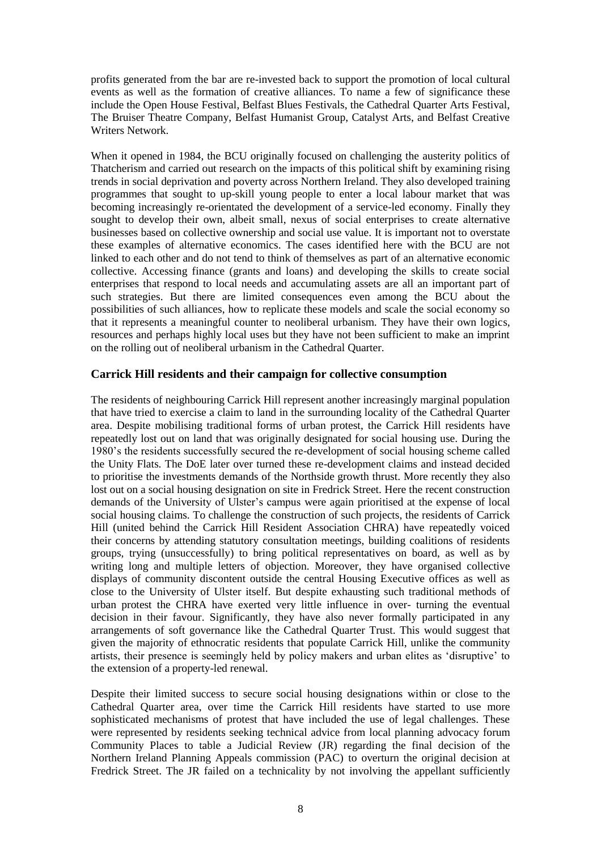profits generated from the bar are re-invested back to support the promotion of local cultural events as well as the formation of creative alliances. To name a few of significance these include the Open House Festival, Belfast Blues Festivals, the Cathedral Quarter Arts Festival, The Bruiser Theatre Company, Belfast Humanist Group, Catalyst Arts, and Belfast Creative Writers Network.

When it opened in 1984, the BCU originally focused on challenging the austerity politics of Thatcherism and carried out research on the impacts of this political shift by examining rising trends in social deprivation and poverty across Northern Ireland. They also developed training programmes that sought to up-skill young people to enter a local labour market that was becoming increasingly re-orientated the development of a service-led economy. Finally they sought to develop their own, albeit small, nexus of social enterprises to create alternative businesses based on collective ownership and social use value. It is important not to overstate these examples of alternative economics. The cases identified here with the BCU are not linked to each other and do not tend to think of themselves as part of an alternative economic collective. Accessing finance (grants and loans) and developing the skills to create social enterprises that respond to local needs and accumulating assets are all an important part of such strategies. But there are limited consequences even among the BCU about the possibilities of such alliances, how to replicate these models and scale the social economy so that it represents a meaningful counter to neoliberal urbanism. They have their own logics, resources and perhaps highly local uses but they have not been sufficient to make an imprint on the rolling out of neoliberal urbanism in the Cathedral Quarter.

#### **Carrick Hill residents and their campaign for collective consumption**

The residents of neighbouring Carrick Hill represent another increasingly marginal population that have tried to exercise a claim to land in the surrounding locality of the Cathedral Quarter area. Despite mobilising traditional forms of urban protest, the Carrick Hill residents have repeatedly lost out on land that was originally designated for social housing use. During the 1980's the residents successfully secured the re-development of social housing scheme called the Unity Flats. The DoE later over turned these re-development claims and instead decided to prioritise the investments demands of the Northside growth thrust. More recently they also lost out on a social housing designation on site in Fredrick Street. Here the recent construction demands of the University of Ulster's campus were again prioritised at the expense of local social housing claims. To challenge the construction of such projects, the residents of Carrick Hill (united behind the Carrick Hill Resident Association CHRA) have repeatedly voiced their concerns by attending statutory consultation meetings, building coalitions of residents groups, trying (unsuccessfully) to bring political representatives on board, as well as by writing long and multiple letters of objection. Moreover, they have organised collective displays of community discontent outside the central Housing Executive offices as well as close to the University of Ulster itself. But despite exhausting such traditional methods of urban protest the CHRA have exerted very little influence in over- turning the eventual decision in their favour. Significantly, they have also never formally participated in any arrangements of soft governance like the Cathedral Quarter Trust. This would suggest that given the majority of ethnocratic residents that populate Carrick Hill, unlike the community artists, their presence is seemingly held by policy makers and urban elites as 'disruptive' to the extension of a property-led renewal.

Despite their limited success to secure social housing designations within or close to the Cathedral Quarter area, over time the Carrick Hill residents have started to use more sophisticated mechanisms of protest that have included the use of legal challenges. These were represented by residents seeking technical advice from local planning advocacy forum Community Places to table a Judicial Review (JR) regarding the final decision of the Northern Ireland Planning Appeals commission (PAC) to overturn the original decision at Fredrick Street. The JR failed on a technicality by not involving the appellant sufficiently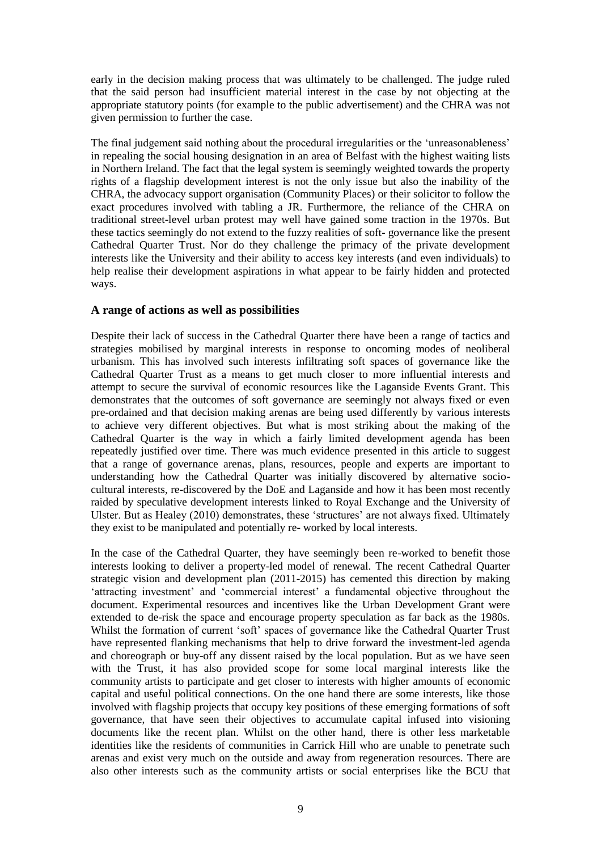early in the decision making process that was ultimately to be challenged. The judge ruled that the said person had insufficient material interest in the case by not objecting at the appropriate statutory points (for example to the public advertisement) and the CHRA was not given permission to further the case.

The final judgement said nothing about the procedural irregularities or the 'unreasonableness' in repealing the social housing designation in an area of Belfast with the highest waiting lists in Northern Ireland. The fact that the legal system is seemingly weighted towards the property rights of a flagship development interest is not the only issue but also the inability of the CHRA, the advocacy support organisation (Community Places) or their solicitor to follow the exact procedures involved with tabling a JR. Furthermore, the reliance of the CHRA on traditional street-level urban protest may well have gained some traction in the 1970s. But these tactics seemingly do not extend to the fuzzy realities of soft- governance like the present Cathedral Quarter Trust. Nor do they challenge the primacy of the private development interests like the University and their ability to access key interests (and even individuals) to help realise their development aspirations in what appear to be fairly hidden and protected ways.

#### **A range of actions as well as possibilities**

Despite their lack of success in the Cathedral Quarter there have been a range of tactics and strategies mobilised by marginal interests in response to oncoming modes of neoliberal urbanism. This has involved such interests infiltrating soft spaces of governance like the Cathedral Quarter Trust as a means to get much closer to more influential interests and attempt to secure the survival of economic resources like the Laganside Events Grant. This demonstrates that the outcomes of soft governance are seemingly not always fixed or even pre-ordained and that decision making arenas are being used differently by various interests to achieve very different objectives. But what is most striking about the making of the Cathedral Quarter is the way in which a fairly limited development agenda has been repeatedly justified over time. There was much evidence presented in this article to suggest that a range of governance arenas, plans, resources, people and experts are important to understanding how the Cathedral Quarter was initially discovered by alternative sociocultural interests, re-discovered by the DoE and Laganside and how it has been most recently raided by speculative development interests linked to Royal Exchange and the University of Ulster. But as Healey (2010) demonstrates, these 'structures' are not always fixed. Ultimately they exist to be manipulated and potentially re- worked by local interests.

In the case of the Cathedral Quarter, they have seemingly been re-worked to benefit those interests looking to deliver a property-led model of renewal. The recent Cathedral Quarter strategic vision and development plan (2011-2015) has cemented this direction by making 'attracting investment' and 'commercial interest' a fundamental objective throughout the document. Experimental resources and incentives like the Urban Development Grant were extended to de-risk the space and encourage property speculation as far back as the 1980s. Whilst the formation of current 'soft' spaces of governance like the Cathedral Quarter Trust have represented flanking mechanisms that help to drive forward the investment-led agenda and choreograph or buy-off any dissent raised by the local population. But as we have seen with the Trust, it has also provided scope for some local marginal interests like the community artists to participate and get closer to interests with higher amounts of economic capital and useful political connections. On the one hand there are some interests, like those involved with flagship projects that occupy key positions of these emerging formations of soft governance, that have seen their objectives to accumulate capital infused into visioning documents like the recent plan. Whilst on the other hand, there is other less marketable identities like the residents of communities in Carrick Hill who are unable to penetrate such arenas and exist very much on the outside and away from regeneration resources. There are also other interests such as the community artists or social enterprises like the BCU that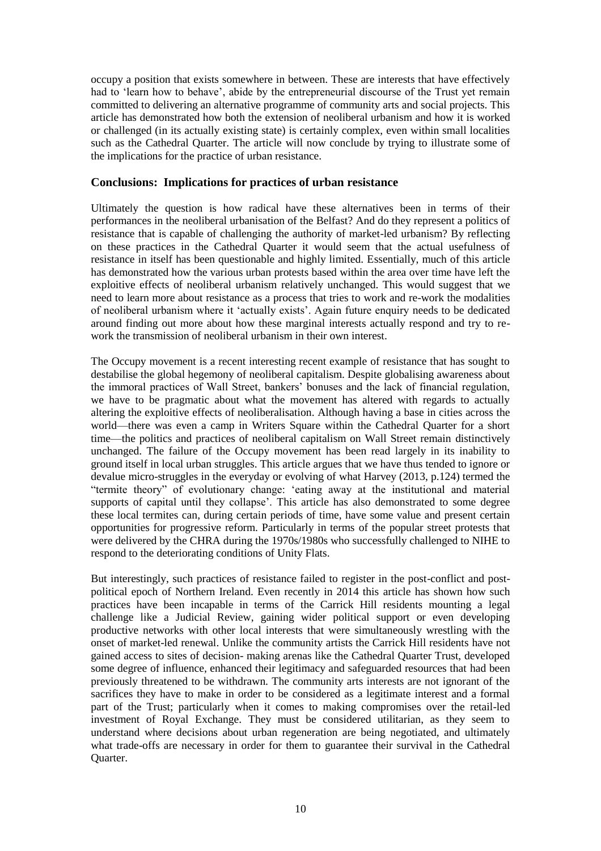occupy a position that exists somewhere in between. These are interests that have effectively had to 'learn how to behave', abide by the entrepreneurial discourse of the Trust yet remain committed to delivering an alternative programme of community arts and social projects. This article has demonstrated how both the extension of neoliberal urbanism and how it is worked or challenged (in its actually existing state) is certainly complex, even within small localities such as the Cathedral Quarter. The article will now conclude by trying to illustrate some of the implications for the practice of urban resistance.

#### **Conclusions: Implications for practices of urban resistance**

Ultimately the question is how radical have these alternatives been in terms of their performances in the neoliberal urbanisation of the Belfast? And do they represent a politics of resistance that is capable of challenging the authority of market-led urbanism? By reflecting on these practices in the Cathedral Quarter it would seem that the actual usefulness of resistance in itself has been questionable and highly limited. Essentially, much of this article has demonstrated how the various urban protests based within the area over time have left the exploitive effects of neoliberal urbanism relatively unchanged. This would suggest that we need to learn more about resistance as a process that tries to work and re-work the modalities of neoliberal urbanism where it 'actually exists'. Again future enquiry needs to be dedicated around finding out more about how these marginal interests actually respond and try to rework the transmission of neoliberal urbanism in their own interest.

The Occupy movement is a recent interesting recent example of resistance that has sought to destabilise the global hegemony of neoliberal capitalism. Despite globalising awareness about the immoral practices of Wall Street, bankers' bonuses and the lack of financial regulation, we have to be pragmatic about what the movement has altered with regards to actually altering the exploitive effects of neoliberalisation. Although having a base in cities across the world—there was even a camp in Writers Square within the Cathedral Quarter for a short time—the politics and practices of neoliberal capitalism on Wall Street remain distinctively unchanged. The failure of the Occupy movement has been read largely in its inability to ground itself in local urban struggles. This article argues that we have thus tended to ignore or devalue micro-struggles in the everyday or evolving of what Harvey (2013, p.124) termed the "termite theory" of evolutionary change: 'eating away at the institutional and material supports of capital until they collapse'. This article has also demonstrated to some degree these local termites can, during certain periods of time, have some value and present certain opportunities for progressive reform. Particularly in terms of the popular street protests that were delivered by the CHRA during the 1970s/1980s who successfully challenged to NIHE to respond to the deteriorating conditions of Unity Flats.

But interestingly, such practices of resistance failed to register in the post-conflict and postpolitical epoch of Northern Ireland. Even recently in 2014 this article has shown how such practices have been incapable in terms of the Carrick Hill residents mounting a legal challenge like a Judicial Review, gaining wider political support or even developing productive networks with other local interests that were simultaneously wrestling with the onset of market-led renewal. Unlike the community artists the Carrick Hill residents have not gained access to sites of decision- making arenas like the Cathedral Quarter Trust, developed some degree of influence, enhanced their legitimacy and safeguarded resources that had been previously threatened to be withdrawn. The community arts interests are not ignorant of the sacrifices they have to make in order to be considered as a legitimate interest and a formal part of the Trust; particularly when it comes to making compromises over the retail-led investment of Royal Exchange. They must be considered utilitarian, as they seem to understand where decisions about urban regeneration are being negotiated, and ultimately what trade-offs are necessary in order for them to guarantee their survival in the Cathedral Quarter.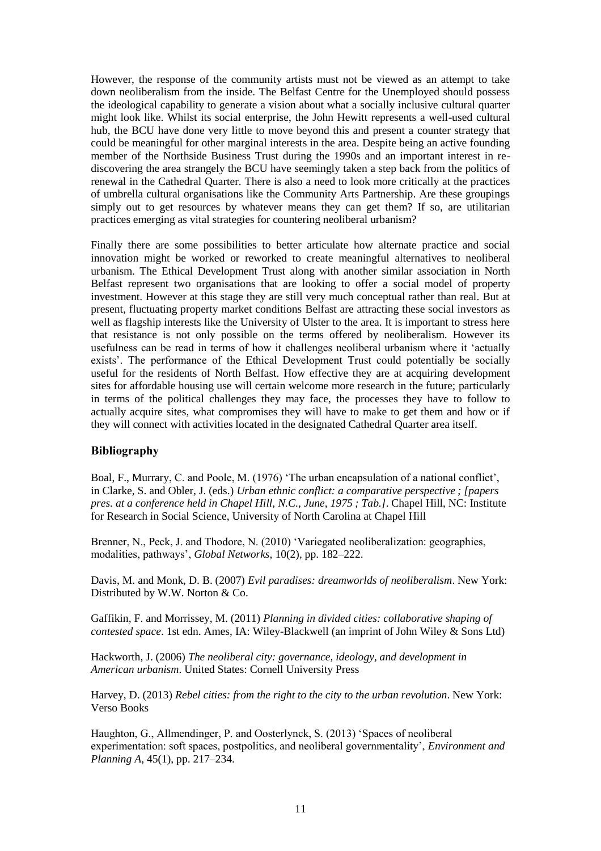However, the response of the community artists must not be viewed as an attempt to take down neoliberalism from the inside. The Belfast Centre for the Unemployed should possess the ideological capability to generate a vision about what a socially inclusive cultural quarter might look like. Whilst its social enterprise, the John Hewitt represents a well-used cultural hub, the BCU have done very little to move beyond this and present a counter strategy that could be meaningful for other marginal interests in the area. Despite being an active founding member of the Northside Business Trust during the 1990s and an important interest in rediscovering the area strangely the BCU have seemingly taken a step back from the politics of renewal in the Cathedral Quarter. There is also a need to look more critically at the practices of umbrella cultural organisations like the Community Arts Partnership. Are these groupings simply out to get resources by whatever means they can get them? If so, are utilitarian practices emerging as vital strategies for countering neoliberal urbanism?

Finally there are some possibilities to better articulate how alternate practice and social innovation might be worked or reworked to create meaningful alternatives to neoliberal urbanism. The Ethical Development Trust along with another similar association in North Belfast represent two organisations that are looking to offer a social model of property investment. However at this stage they are still very much conceptual rather than real. But at present, fluctuating property market conditions Belfast are attracting these social investors as well as flagship interests like the University of Ulster to the area. It is important to stress here that resistance is not only possible on the terms offered by neoliberalism. However its usefulness can be read in terms of how it challenges neoliberal urbanism where it 'actually exists'. The performance of the Ethical Development Trust could potentially be socially useful for the residents of North Belfast. How effective they are at acquiring development sites for affordable housing use will certain welcome more research in the future; particularly in terms of the political challenges they may face, the processes they have to follow to actually acquire sites, what compromises they will have to make to get them and how or if they will connect with activities located in the designated Cathedral Quarter area itself.

#### **Bibliography**

Boal, F., Murrary, C. and Poole, M. (1976) 'The urban encapsulation of a national conflict', in Clarke, S. and Obler, J. (eds.) *Urban ethnic conflict: a comparative perspective ; [papers pres. at a conference held in Chapel Hill, N.C., June, 1975 ; Tab.]*. Chapel Hill, NC: Institute for Research in Social Science, University of North Carolina at Chapel Hill

Brenner, N., Peck, J. and Thodore, N. (2010) 'Variegated neoliberalization: geographies, modalities, pathways', *Global Networks*, 10(2), pp. 182–222.

Davis, M. and Monk, D. B. (2007) *Evil paradises: dreamworlds of neoliberalism*. New York: Distributed by W.W. Norton & Co.

Gaffikin, F. and Morrissey, M. (2011) *Planning in divided cities: collaborative shaping of contested space*. 1st edn. Ames, IA: Wiley-Blackwell (an imprint of John Wiley & Sons Ltd)

Hackworth, J. (2006) *The neoliberal city: governance, ideology, and development in American urbanism*. United States: Cornell University Press

Harvey, D. (2013) *Rebel cities: from the right to the city to the urban revolution*. New York: Verso Books

Haughton, G., Allmendinger, P. and Oosterlynck, S. (2013) 'Spaces of neoliberal experimentation: soft spaces, postpolitics, and neoliberal governmentality', *Environment and Planning A*, 45(1), pp. 217–234.